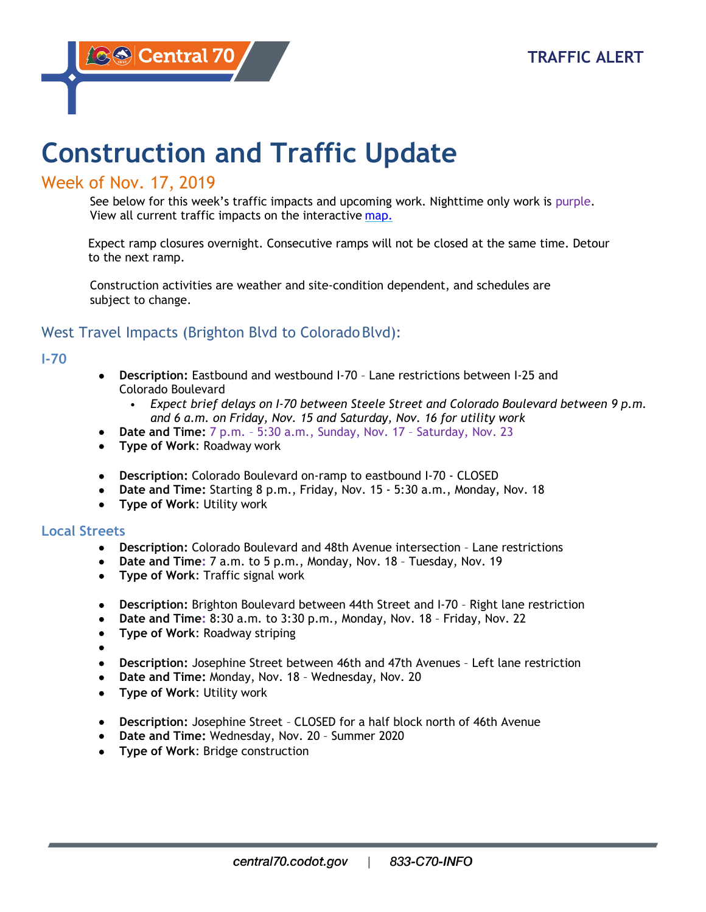# **Construction and Traffic Update**

## Week of Nov. 17, 2019

See below for this week's traffic impacts and upcoming work. Nighttime only work is purple. View all current traffic impacts on the interactive [map.](https://www.google.com/maps/d/viewer?mid=1BYOGW4mw1Re8xT1K9iA2EXWXO13hV34u&ll=39.76153982383773%2C-104.89622370000001&z=13&utm_source=CDOT%20Newsletters&utm_campaign=2d47a58fa6-EMAIL_CAMPAIGN_2018_09_21_10_05_COPY_04&utm_medium=email&utm_term=0_d9565e1c22-2d47a58fa6-)

Expect ramp closures overnight. Consecutive ramps will not be closed at the same time. Detour to the next ramp.

Construction activities are weather and site-condition dependent, and schedules are subject to change.

# West Travel Impacts (Brighton Blvd to ColoradoBlvd):

## **I-70**

- **Description:** Eastbound and westbound I-70 Lane restrictions between I-25 and Colorado Boulevard
	- *Expect brief delays on I-70 between Steele Street and Colorado Boulevard between 9 p.m. and 6 a.m. on Friday, Nov. 15 and Saturday, Nov. 16 for utility work*
	- **Date and Time:** 7 p.m. 5:30 a.m., Sunday, Nov. 17 Saturday, Nov. 23
- **Type of Work**: Roadway work
- **Description:** Colorado Boulevard on-ramp to eastbound I-70 CLOSED
- **Date and Time:** Starting 8 p.m., Friday, Nov. 15 5:30 a.m., Monday, Nov. 18
- **Type of Work**: Utility work

## **Local Streets**

- **Description:** Colorado Boulevard and 48th Avenue intersection Lane restrictions
- **Date and Time:** 7 a.m. to 5 p.m., Monday, Nov. 18 Tuesday, Nov. 19
- **Type of Work**: Traffic signal work
- **Description:** Brighton Boulevard between 44th Street and I-70 Right lane restriction
- **Date and Time:** 8:30 a.m. to 3:30 p.m., Monday, Nov. 18 Friday, Nov. 22
- **Type of Work**: Roadway striping
- •
- **Description:** Josephine Street between 46th and 47th Avenues Left lane restriction
- **Date and Time:** Monday, Nov. 18 Wednesday, Nov. 20
- **Type of Work**: Utility work
- **Description:** Josephine Street CLOSED for a half block north of 46th Avenue
- **Date and Time:** Wednesday, Nov. 20 Summer 2020
- **Type of Work**: Bridge construction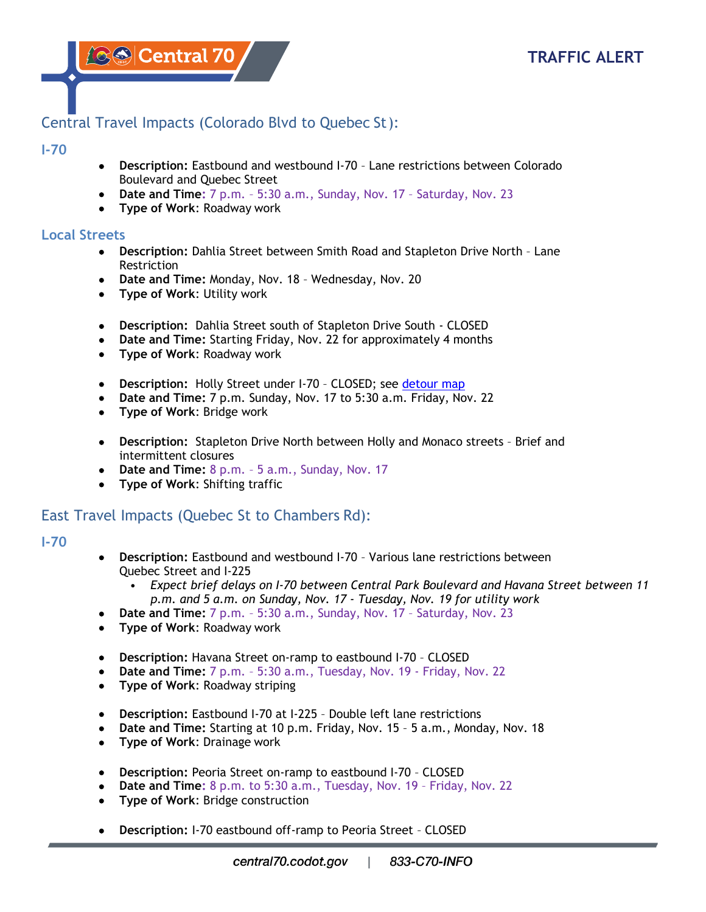**AS Central 70** 

# Central Travel Impacts (Colorado Blvd to Quebec St):

#### **I-70**

- **Description:** Eastbound and westbound I-70 Lane restrictions between Colorado Boulevard and Quebec Street
- **Date and Time:** 7 p.m. 5:30 a.m., Sunday, Nov. 17 Saturday, Nov. 23
- **Type of Work**: Roadway work

## **Local Streets**

- **Description:** Dahlia Street between Smith Road and Stapleton Drive North Lane **Restriction**
- **Date and Time:** Monday, Nov. 18 Wednesday, Nov. 20
- **Type of Work**: Utility work
- **Description:** Dahlia Street south of Stapleton Drive South CLOSED
- **Date and Time:** Starting Friday, Nov. 22 for approximately 4 months
- **Type of Work**: Roadway work
- **Description:** Holly Street under I-70 CLOSED; see [detour map](https://www.codot.gov/projects/i70east/detour-maps-2/holly-under-i-70.jpg)
- **Date and Time:** 7 p.m. Sunday, Nov. 17 to 5:30 a.m. Friday, Nov. 22
- **Type of Work**: Bridge work
- **Description:** Stapleton Drive North between Holly and Monaco streets Brief and intermittent closures
- **Date and Time:** 8 p.m. 5 a.m., Sunday, Nov. 17
- **Type of Work**: Shifting traffic

## East Travel Impacts (Quebec St to Chambers Rd):

#### **I-70**

- **Description:** Eastbound and westbound I-70 Various lane restrictions between Quebec Street and I-225
	- *Expect brief delays on I-70 between Central Park Boulevard and Havana Street between 11 p.m. and 5 a.m. on Sunday, Nov. 17 - Tuesday, Nov. 19 for utility work*
- **Date and Time:** 7 p.m. 5:30 a.m., Sunday, Nov. 17 Saturday, Nov. 23
- **Type of Work**: Roadway work
- **Description:** Havana Street on-ramp to eastbound I-70 CLOSED
- **Date and Time:** 7 p.m. 5:30 a.m., Tuesday, Nov. 19 Friday, Nov. 22
- **Type of Work**: Roadway striping
- **Description:** Eastbound I-70 at I-225 Double left lane restrictions
- **Date and Time:** Starting at 10 p.m. Friday, Nov. 15 5 a.m., Monday, Nov. 18
- **Type of Work**: Drainage work
- **Description:** Peoria Street on-ramp to eastbound I-70 CLOSED
- **Date and Time:** 8 p.m. to 5:30 a.m., Tuesday, Nov. 19 Friday, Nov. 22
- **Type of Work**: Bridge construction
- **Description:** I-70 eastbound off-ramp to Peoria Street CLOSED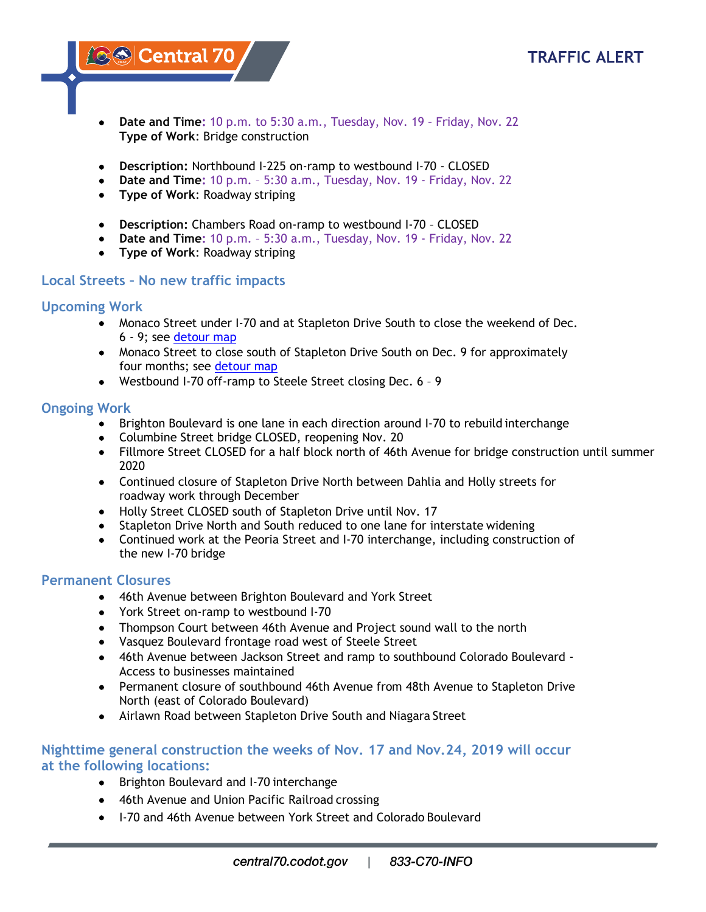

**ASS Central 70** 

- **Date and Time:** 10 p.m. to 5:30 a.m., Tuesday, Nov. 19 Friday, Nov. 22 **Type of Work**: Bridge construction
- **Description:** Northbound I-225 on-ramp to westbound I-70 CLOSED
- **Date and Time:** 10 p.m. 5:30 a.m., Tuesday, Nov. 19 Friday, Nov. 22
- **Type of Work**: Roadway striping
- **Description:** Chambers Road on-ramp to westbound I-70 CLOSED
- **Date and Time:** 10 p.m. 5:30 a.m., Tuesday, Nov. 19 Friday, Nov. 22
- **Type of Work**: Roadway striping

## **Local Streets – No new traffic impacts**

## **Upcoming Work**

- Monaco Street under I-70 and at Stapleton Drive South to close the weekend of Dec. 6 - 9; see [detour map](https://www.codot.gov/projects/i70east/detour-maps-2/monaco-under-i-70-eng.jpg/image_view_fullscreen)
- Monaco Street to close south of Stapleton Drive South on Dec. 9 for approximately four months; see [detour map](https://www.codot.gov/projects/i70east/detour-maps-2/monaco-south-of-stapleton-eng.jpg)
- Westbound I-70 off-ramp to Steele Street closing Dec. 6 9

## **Ongoing Work**

- Brighton Boulevard is one lane in each direction around I-70 to rebuild interchange
- Columbine Street bridge CLOSED, reopening Nov. 20
- Fillmore Street CLOSED for a half block north of 46th Avenue for bridge construction until summer 2020
- Continued closure of Stapleton Drive North between Dahlia and Holly streets for roadway work through December
- Holly Street CLOSED south of Stapleton Drive until Nov. 17
- Stapleton Drive North and South reduced to one lane for interstate widening
- Continued work at the Peoria Street and I-70 interchange, including construction of the new I-70 bridge

## **Permanent Closures**

- 46th Avenue between Brighton Boulevard and York Street
- York Street on-ramp to westbound I-70
- Thompson Court between 46th Avenue and Project sound wall to the north
- Vasquez Boulevard frontage road west of Steele Street
- 46th Avenue between Jackson Street and ramp to southbound Colorado Boulevard Access to businesses maintained
- Permanent closure of southbound 46th Avenue from 48th Avenue to Stapleton Drive North (east of Colorado Boulevard)
- Airlawn Road between Stapleton Drive South and Niagara Street

## **Nighttime general construction the weeks of Nov. 17 and Nov.24, 2019 will occur at the following locations:**

- Brighton Boulevard and I-70 interchange
- 46th Avenue and Union Pacific Railroad crossing
- I-70 and 46th Avenue between York Street and Colorado Boulevard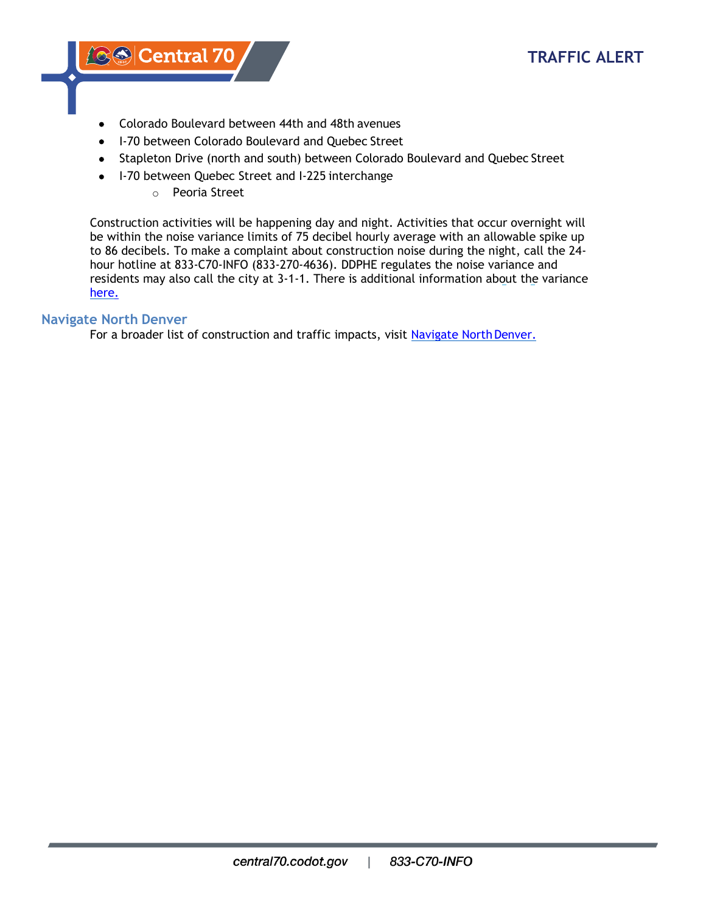**A® Central 70** 

- Colorado Boulevard between 44th and 48th avenues
- I-70 between Colorado Boulevard and Quebec Street
- Stapleton Drive (north and south) between Colorado Boulevard and Quebec Street
- I-70 between Quebec Street and I-225 interchange
	- o Peoria Street

Construction activities will be happening day and night. Activities that occur overnight will be within the noise variance limits of 75 decibel hourly average with an allowable spike up to 86 decibels. To make a complaint about construction noise during the night, call the 24 hour hotline at 833-C70-INFO (833-270-4636). DDPHE regulates the noise variance and residents may also call the city at 3-1-1. There is additional information about the variance [here.](https://www.denvergov.org/content/denvergov/en/environmental-health/public-health-inspections/healthy-families-healthy-homes-section/central-i70-project.html)

#### **Navigate North Denver**

For a broader list of construction and traffic impacts, visit Navigate North Denver.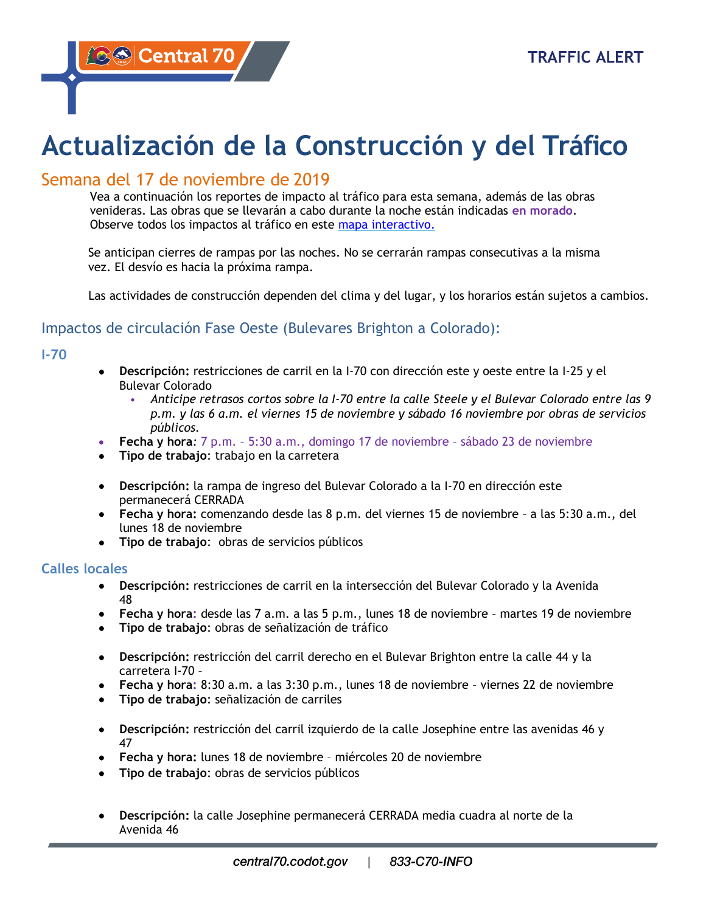**A⊗© Central 70** 

# **Actualización de la Construcción y del Tráfico**

# Semana del 17 de noviembre de 2019

Vea a continuación los reportes de impacto al tráfico para esta semana, además de las obras venideras. Las obras que se llevarán a cabo durante la noche están indicadas **en morado**. Observe todos los impactos al tráfico en este [mapa interactivo.](https://www.google.com/maps/d/viewer?mid=1BYOGW4mw1Re8xT1K9iA2EXWXO13hV34u&ll=39.76153982383773%2C-104.89622370000001&z=13&utm_source=CDOT%20Newsletters&utm_campaign=2d47a58fa6-EMAIL_CAMPAIGN_2018_09_21_10_05_COPY_04&utm_medium=email&utm_term=0_d9565e1c22-2d47a58fa6-)

Se anticipan cierres de rampas por las noches. No se cerrarán rampas consecutivas a la misma vez. El desvío es hacia la próxima rampa.

Las actividades de construcción dependen del clima y del lugar, y los horarios están sujetos a cambios.

## Impactos de circulación Fase Oeste (Bulevares Brighton a Colorado):

**I-70**

- **Descripción:** restricciones de carril en la I-70 con dirección este y oeste entre la I-25 y el Bulevar Colorado
	- *Anticipe retrasos cortos sobre la I-70 entre la calle Steele y el Bulevar Colorado entre las 9 p.m. y las 6 a.m. el viernes 15 de noviembre y sábado 16 noviembre por obras de servicios públicos.*
- **Fecha y hora***:* 7 p.m. 5:30 a.m., domingo 17 de noviembre sábado 23 de noviembre
- **Tipo de trabajo**: trabajo en la carretera
- **Descripción:** la rampa de ingreso del Bulevar Colorado a la I-70 en dirección este permanecerá CERRADA
- **Fecha y hora:** comenzando desde las 8 p.m. del viernes 15 de noviembre a las 5:30 a.m., del lunes 18 de noviembre
- **Tipo de trabajo**: obras de servicios públicos

#### **Calles locales**

- **Descripción:** restricciones de carril en la intersección del Bulevar Colorado y la Avenida 48
- **Fecha y hora:** desde las 7 a.m. a las 5 p.m., lunes 18 de noviembre martes 19 de noviembre
- **Tipo de trabajo**: obras de señalización de tráfico
- **Descripción:** restricción del carril derecho en el Bulevar Brighton entre la calle 44 y la carretera I-70 –
- **Fecha y hora:** 8:30 a.m. a las 3:30 p.m., lunes 18 de noviembre viernes 22 de noviembre
- **Tipo de trabajo**: señalización de carriles
- **Descripción:** restricción del carril izquierdo de la calle Josephine entre las avenidas 46 y 47
- **Fecha y hora:** lunes 18 de noviembre miércoles 20 de noviembre
- **Tipo de trabajo**: obras de servicios públicos
- **Descripción:** la calle Josephine permanecerá CERRADA media cuadra al norte de la Avenida 46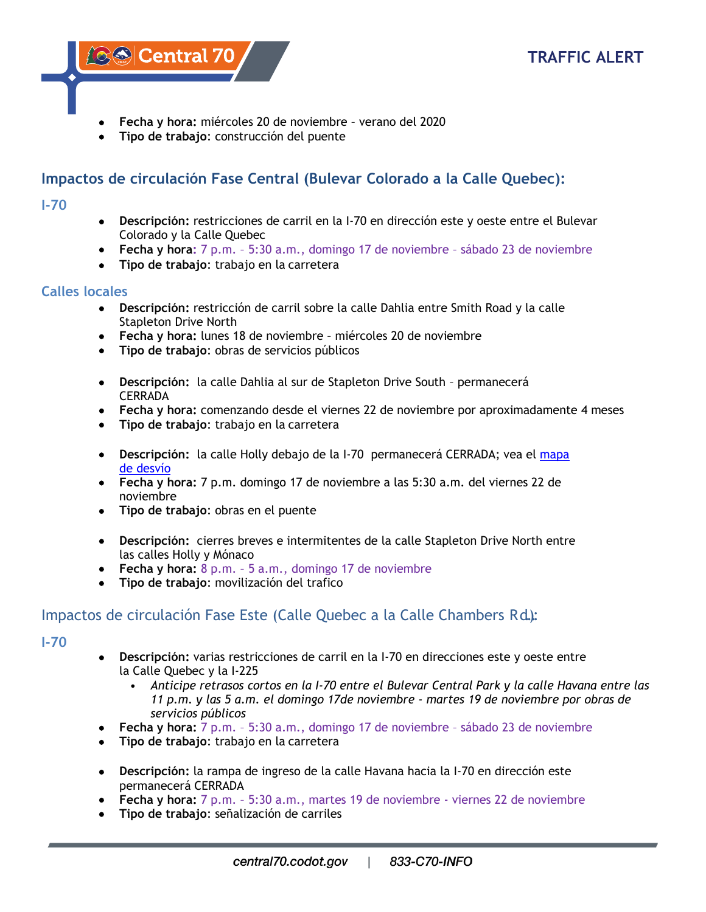

- **Fecha y hora:** miércoles 20 de noviembre verano del 2020
- **Tipo de trabajo**: construcción del puente

# **Impactos de circulación Fase Central (Bulevar Colorado a la Calle Quebec):**

#### **I-70**

- **Descripción:** restricciones de carril en la I-70 en dirección este y oeste entre el Bulevar Colorado y la Calle Quebec
- **Fecha y hora:** 7 p.m. 5:30 a.m., domingo 17 de noviembre sábado 23 de noviembre
- **Tipo de trabajo**: trabajo en la carretera

## **Calles locales**

- **Descripción:** restricción de carril sobre la calle Dahlia entre Smith Road y la calle Stapleton Drive North
- **Fecha y hora:** lunes 18 de noviembre miércoles 20 de noviembre
- **Tipo de trabajo**: obras de servicios públicos
- **Descripción:** la calle Dahlia al sur de Stapleton Drive South permanecerá CERRADA
- **Fecha y hora:** comenzando desde el viernes 22 de noviembre por aproximadamente 4 meses
- **Tipo de trabajo**: trabajo en la carretera
- **Descripción:** la calle Holly debajo de la I-70 permanecerá CERRADA; vea el [mapa](https://www.codot.gov/projects/i70east/detour-maps-2/holly-under-i-70-spn.jpg)  [de desvío](https://www.codot.gov/projects/i70east/detour-maps-2/holly-under-i-70-spn.jpg)
- **Fecha y hora:** 7 p.m. domingo 17 de noviembre a las 5:30 a.m. del viernes 22 de noviembre
- **Tipo de trabajo**: obras en el puente
- **Descripción:** cierres breves e intermitentes de la calle Stapleton Drive North entre las calles Holly y Mónaco
- **Fecha y hora:** 8 p.m. 5 a.m., domingo 17 de noviembre
- **Tipo de trabajo**: movilización del trafico

## Impactos de circulación Fase Este (Calle Quebec a la Calle Chambers Rd.):

## **I-70**

- **Descripción:** varias restricciones de carril en la I-70 en direcciones este y oeste entre la Calle Quebec y la I-225
	- *Anticipe retrasos cortos en la I-70 entre el Bulevar Central Park y la calle Havana entre las 11 p.m. y las 5 a.m. el domingo 17de noviembre - martes 19 de noviembre por obras de servicios públicos*
- **Fecha y hora:** 7 p.m. 5:30 a.m., domingo 17 de noviembre sábado 23 de noviembre
- **Tipo de trabajo**: trabajo en la carretera
- **Descripción:** la rampa de ingreso de la calle Havana hacia la I-70 en dirección este permanecerá CERRADA
- **Fecha y hora:** 7 p.m. 5:30 a.m., martes 19 de noviembre viernes 22 de noviembre
- **Tipo de trabajo**: señalización de carriles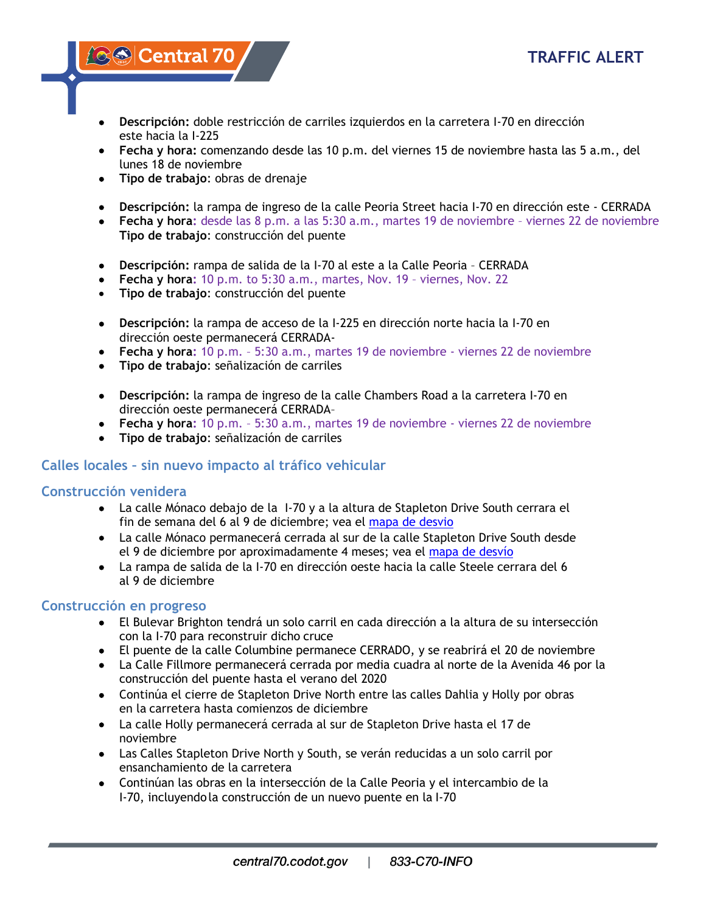**ASS Central 70** 

- **Descripción:** doble restricción de carriles izquierdos en la carretera I-70 en dirección este hacia la I-225
- **Fecha y hora:** comenzando desde las 10 p.m. del viernes 15 de noviembre hasta las 5 a.m., del lunes 18 de noviembre
- **Tipo de trabajo**: obras de drenaje
- **Descripción:** la rampa de ingreso de la calle Peoria Street hacia I-70 en dirección este CERRADA
- **Fecha y hora:** desde las 8 p.m. a las 5:30 a.m., martes 19 de noviembre viernes 22 de noviembre **Tipo de trabajo**: construcción del puente
- **Descripción:** rampa de salida de la I-70 al este a la Calle Peoria CERRADA
- **Fecha y hora:** 10 p.m. to 5:30 a.m., martes, Nov. 19 viernes, Nov. 22
- **Tipo de trabajo**: construcción del puente
- **Descripción:** la rampa de acceso de la I-225 en dirección norte hacia la I-70 en dirección oeste permanecerá CERRADA-
- **Fecha y hora:** 10 p.m. 5:30 a.m., martes 19 de noviembre viernes 22 de noviembre
- **Tipo de trabajo**: señalización de carriles
- **Descripción:** la rampa de ingreso de la calle Chambers Road a la carretera I-70 en dirección oeste permanecerá CERRADA–
- **Fecha y hora:** 10 p.m. 5:30 a.m., martes 19 de noviembre viernes 22 de noviembre
- **Tipo de trabajo**: señalización de carriles

## **Calles locales – sin nuevo impacto al tráfico vehicular**

## **Construcción venidera**

- La calle Mónaco debajo de la I-70 y a la altura de Stapleton Drive South cerrara el fin de semana del 6 al 9 de diciembre; vea el [mapa de desvio](https://www.codot.gov/projects/i70east/detour-maps-2/monaco-under-i-70-spn.jpg/view)
- La calle Mónaco permanecerá cerrada al sur de la calle Stapleton Drive South desde el 9 de diciembre por aproximadamente 4 meses; vea el [mapa de desvío](https://www.codot.gov/projects/i70east/detour-maps-2/monaco-south-of-stapleton-spn.jpg)
- La rampa de salida de la I-70 en dirección oeste hacia la calle Steele cerrara del 6 al 9 de diciembre

## **Construcción en progreso**

- El Bulevar Brighton tendrá un solo carril en cada dirección a la altura de su intersección con la I-70 para reconstruir dicho cruce
- El puente de la calle Columbine permanece CERRADO, y se reabrirá el 20 de noviembre
- La Calle Fillmore permanecerá cerrada por media cuadra al norte de la Avenida 46 por la construcción del puente hasta el verano del 2020
- Continúa el cierre de Stapleton Drive North entre las calles Dahlia y Holly por obras en la carretera hasta comienzos de diciembre
- La calle Holly permanecerá cerrada al sur de Stapleton Drive hasta el 17 de noviembre
- Las Calles Stapleton Drive North y South, se verán reducidas a un solo carril por ensanchamiento de la carretera
- Continúan las obras en la intersección de la Calle Peoria y el intercambio de la I-70, incluyendola construcción de un nuevo puente en la I-70